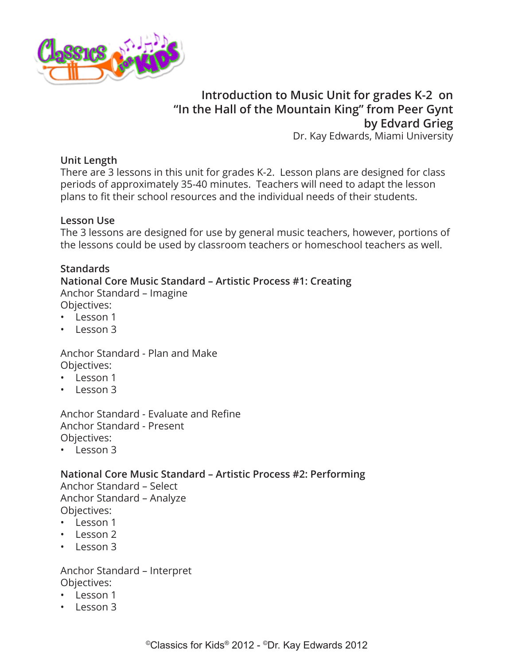

# **Introduction to Music Unit for grades K-2 on "In the Hall of the Mountain King" from Peer Gynt by Edvard Grieg**

Dr. Kay Edwards, Miami University

#### **Unit Length**

There are 3 lessons in this unit for grades K-2. Lesson plans are designed for class periods of approximately 35-40 minutes. Teachers will need to adapt the lesson plans to fit their school resources and the individual needs of their students.

#### **Lesson Use**

The 3 lessons are designed for use by general music teachers, however, portions of the lessons could be used by classroom teachers or homeschool teachers as well.

#### **Standards**

**National Core Music Standard – Artistic Process #1: Creating** Anchor Standard – Imagine

Objectives:

- Lesson 1
- Lesson 3

Anchor Standard - Plan and Make Objectives:

- Lesson 1
- Lesson 3

Anchor Standard - Evaluate and Refine Anchor Standard - Present Objectives:

• Lesson 3

### **National Core Music Standard – Artistic Process #2: Performing**

Anchor Standard – Select Anchor Standard – Analyze Objectives:

- Lesson 1
- Lesson 2
- Lesson 3

Anchor Standard – Interpret Objectives:

- Lesson 1
- Lesson 3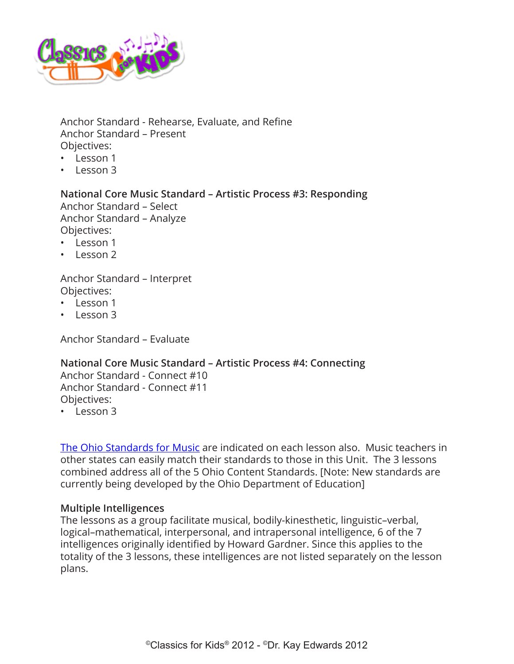

Anchor Standard - Rehearse, Evaluate, and Refine Anchor Standard – Present Objectives:

- Lesson 1
- Lesson 3

**National Core Music Standard – Artistic Process #3: Responding** Anchor Standard – Select Anchor Standard – Analyze Objectives:

- Lesson 1
- Lesson 2

Anchor Standard – Interpret Objectives:

- Lesson 1
- Lesson 3

Anchor Standard – Evaluate

#### **National Core Music Standard – Artistic Process #4: Connecting**

Anchor Standard - Connect #10 Anchor Standard - Connect #11 Objectives:

• Lesson 3

[The Ohio Standards for Music](http://www.ode.state.oh.us/GD/Templates/Pages/ODE/ODEdetail.aspx?page=3&TopicRelationID=1700&ContentID=1388&Content=110069) are indicated on each lesson also. Music teachers in other states can easily match their standards to those in this Unit. The 3 lessons combined address all of the 5 Ohio Content Standards. [Note: New standards are currently being developed by the Ohio Department of Education]

#### **Multiple Intelligences**

The lessons as a group facilitate musical, bodily-kinesthetic, linguistic–verbal, logical–mathematical, interpersonal, and intrapersonal intelligence, 6 of the 7 intelligences originally identified by Howard Gardner. Since this applies to the totality of the 3 lessons, these intelligences are not listed separately on the lesson plans.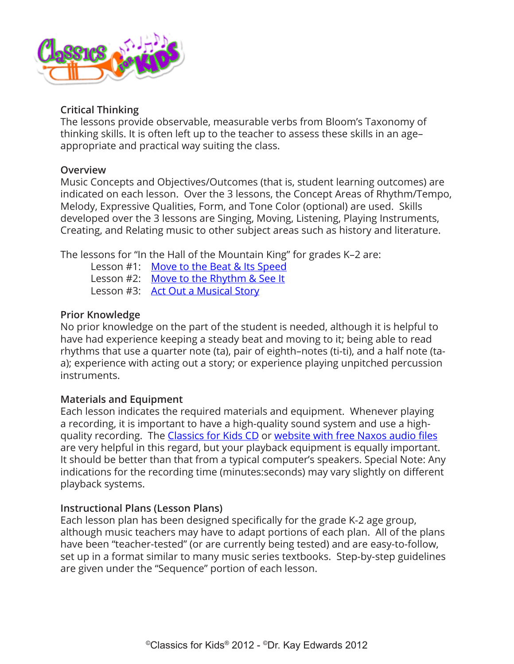

### **Critical Thinking**

The lessons provide observable, measurable verbs from Bloom's Taxonomy of thinking skills. It is often left up to the teacher to assess these skills in an age– appropriate and practical way suiting the class.

### **Overview**

Music Concepts and Objectives/Outcomes (that is, student learning outcomes) are indicated on each lesson. Over the 3 lessons, the Concept Areas of Rhythm/Tempo, Melody, Expressive Qualities, Form, and Tone Color (optional) are used. Skills developed over the 3 lessons are Singing, Moving, Listening, Playing Instruments, Creating, and Relating music to other subject areas such as history and literature.

The lessons for "In the Hall of the Mountain King" for grades K–2 are:

Lesson #1: [Move to the Beat & Its Speed](#page-4-0) Lesson #2: [Move to the Rhythm & See It](#page-8-0) Lesson #3: [Act Out a Musical Story](#page-12-0)

### **Prior Knowledge**

No prior knowledge on the part of the student is needed, although it is helpful to have had experience keeping a steady beat and moving to it; being able to read rhythms that use a quarter note (ta), pair of eighth–notes (ti-ti), and a half note (taa); experience with acting out a story; or experience playing unpitched percussion instruments.

# **Materials and Equipment**

Each lesson indicates the required materials and equipment. Whenever playing a recording, it is important to have a high-quality sound system and use a highquality recording. The [Classics for Kids CD](https://secure2.convio.net/cpr/site/Ecommerce/390168608?VIEW_PRODUCT=true&product_id=1080&store_id=1101) or [website with free Naxos audio files](http://www.classicsforkids.com/music/) are very helpful in this regard, but your playback equipment is equally important. It should be better than that from a typical computer's speakers. Special Note: Any indications for the recording time (minutes:seconds) may vary slightly on different playback systems.

### **Instructional Plans (Lesson Plans)**

Each lesson plan has been designed specifically for the grade K-2 age group, although music teachers may have to adapt portions of each plan. All of the plans have been "teacher-tested" (or are currently being tested) and are easy-to-follow, set up in a format similar to many music series textbooks. Step-by-step guidelines are given under the "Sequence" portion of each lesson.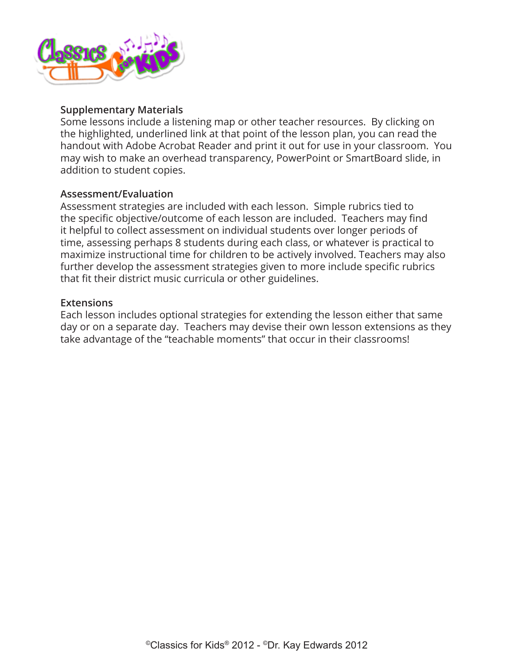

#### **Supplementary Materials**

Some lessons include a listening map or other teacher resources. By clicking on the highlighted, underlined link at that point of the lesson plan, you can read the handout with Adobe Acrobat Reader and print it out for use in your classroom. You may wish to make an overhead transparency, PowerPoint or SmartBoard slide, in addition to student copies.

#### **Assessment/Evaluation**

Assessment strategies are included with each lesson. Simple rubrics tied to the specific objective/outcome of each lesson are included. Teachers may find it helpful to collect assessment on individual students over longer periods of time, assessing perhaps 8 students during each class, or whatever is practical to maximize instructional time for children to be actively involved. Teachers may also further develop the assessment strategies given to more include specific rubrics that fit their district music curricula or other guidelines.

#### **Extensions**

Each lesson includes optional strategies for extending the lesson either that same day or on a separate day. Teachers may devise their own lesson extensions as they take advantage of the "teachable moments" that occur in their classrooms!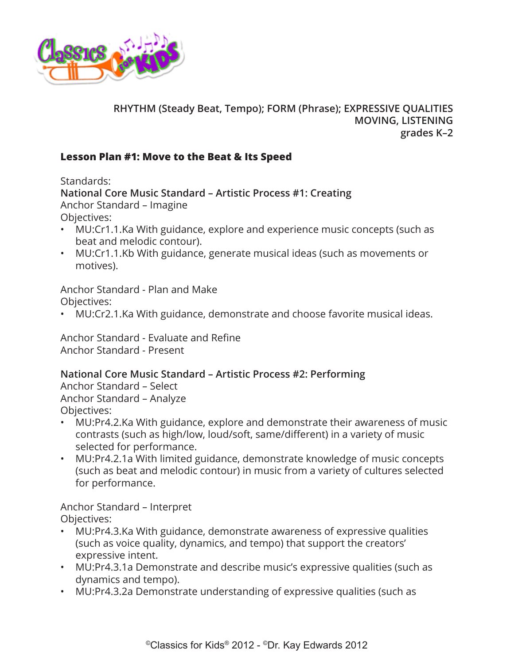<span id="page-4-0"></span>

# **RHYTHM (Steady Beat, Tempo); FORM (Phrase); EXPRESSIVE QUALITIES MOVING, LISTENING grades K–2**

### **Lesson Plan #1: Move to the Beat & Its Speed**

Standards:

**National Core Music Standard – Artistic Process #1: Creating** Anchor Standard – Imagine Objectives:

- MU:Cr1.1.Ka With guidance, explore and experience music concepts (such as beat and melodic contour).
- MU:Cr1.1.Kb With guidance, generate musical ideas (such as movements or motives).

Anchor Standard - Plan and Make Objectives:

• MU:Cr2.1.Ka With guidance, demonstrate and choose favorite musical ideas.

Anchor Standard - Evaluate and Refine Anchor Standard - Present

### **National Core Music Standard – Artistic Process #2: Performing**

Anchor Standard – Select Anchor Standard – Analyze Objectives:

- MU:Pr4.2.Ka With guidance, explore and demonstrate their awareness of music contrasts (such as high/low, loud/soft, same/different) in a variety of music selected for performance.
- MU:Pr4.2.1a With limited guidance, demonstrate knowledge of music concepts (such as beat and melodic contour) in music from a variety of cultures selected for performance.

Anchor Standard – Interpret Objectives:

- MU:Pr4.3.Ka With guidance, demonstrate awareness of expressive qualities (such as voice quality, dynamics, and tempo) that support the creators' expressive intent.
- MU:Pr4.3.1a Demonstrate and describe music's expressive qualities (such as dynamics and tempo).
- MU:Pr4.3.2a Demonstrate understanding of expressive qualities (such as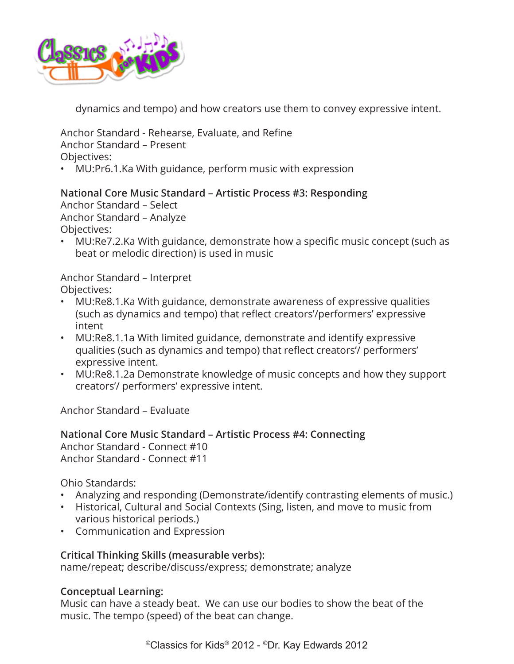

dynamics and tempo) and how creators use them to convey expressive intent.

Anchor Standard - Rehearse, Evaluate, and Refine Anchor Standard – Present Objectives:

• MU:Pr6.1.Ka With guidance, perform music with expression

### **National Core Music Standard – Artistic Process #3: Responding**

Anchor Standard – Select Anchor Standard – Analyze Objectives:

• MU:Re7.2.Ka With guidance, demonstrate how a specific music concept (such as beat or melodic direction) is used in music

Anchor Standard – Interpret Objectives:

- MU:Re8.1.Ka With guidance, demonstrate awareness of expressive qualities (such as dynamics and tempo) that reflect creators'/performers' expressive intent
- MU:Re8.1.1a With limited guidance, demonstrate and identify expressive qualities (such as dynamics and tempo) that reflect creators'/ performers' expressive intent.
- MU:Re8.1.2a Demonstrate knowledge of music concepts and how they support creators'/ performers' expressive intent.

Anchor Standard – Evaluate

**National Core Music Standard – Artistic Process #4: Connecting** Anchor Standard - Connect #10 Anchor Standard - Connect #11

Ohio Standards:

- Analyzing and responding (Demonstrate/identify contrasting elements of music.)
- Historical, Cultural and Social Contexts (Sing, listen, and move to music from various historical periods.)
- Communication and Expression

#### **Critical Thinking Skills (measurable verbs):**

name/repeat; describe/discuss/express; demonstrate; analyze

#### **Conceptual Learning:**

Music can have a steady beat. We can use our bodies to show the beat of the music. The tempo (speed) of the beat can change.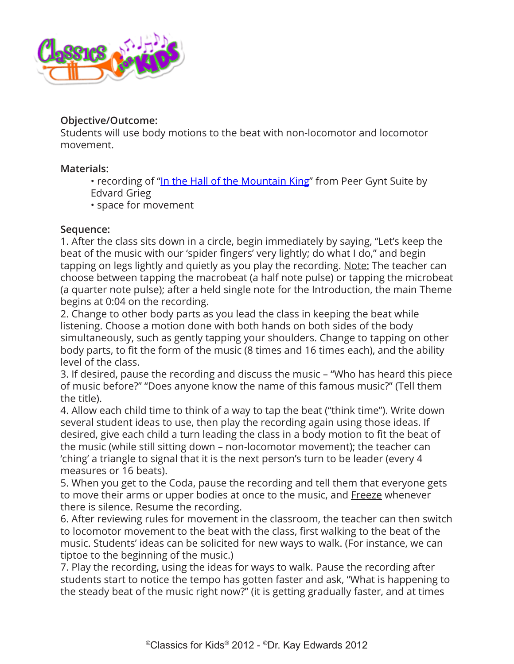

### **Objective/Outcome:**

Students will use body motions to the beat with non-locomotor and locomotor movement.

### **Materials:**

- recording of "[In the Hall of the Mountain King"](http://www.classicsforkids.com/composers/composer_profile.php?id=32) from Peer Gynt Suite by Edvard Grieg
- space for movement

### **Sequence:**

1. After the class sits down in a circle, begin immediately by saying, "Let's keep the beat of the music with our 'spider fingers' very lightly; do what I do," and begin tapping on legs lightly and quietly as you play the recording. Note: The teacher can choose between tapping the macrobeat (a half note pulse) or tapping the microbeat (a quarter note pulse); after a held single note for the Introduction, the main Theme begins at 0:04 on the recording.

2. Change to other body parts as you lead the class in keeping the beat while listening. Choose a motion done with both hands on both sides of the body simultaneously, such as gently tapping your shoulders. Change to tapping on other body parts, to fit the form of the music (8 times and 16 times each), and the ability level of the class.

3. If desired, pause the recording and discuss the music – "Who has heard this piece of music before?" "Does anyone know the name of this famous music?" (Tell them the title).

4. Allow each child time to think of a way to tap the beat ("think time"). Write down several student ideas to use, then play the recording again using those ideas. If desired, give each child a turn leading the class in a body motion to fit the beat of the music (while still sitting down – non-locomotor movement); the teacher can 'ching' a triangle to signal that it is the next person's turn to be leader (every 4 measures or 16 beats).

5. When you get to the Coda, pause the recording and tell them that everyone gets to move their arms or upper bodies at once to the music, and Freeze whenever there is silence. Resume the recording.

6. After reviewing rules for movement in the classroom, the teacher can then switch to locomotor movement to the beat with the class, first walking to the beat of the music. Students' ideas can be solicited for new ways to walk. (For instance, we can tiptoe to the beginning of the music.)

7. Play the recording, using the ideas for ways to walk. Pause the recording after students start to notice the tempo has gotten faster and ask, "What is happening to the steady beat of the music right now?" (it is getting gradually faster, and at times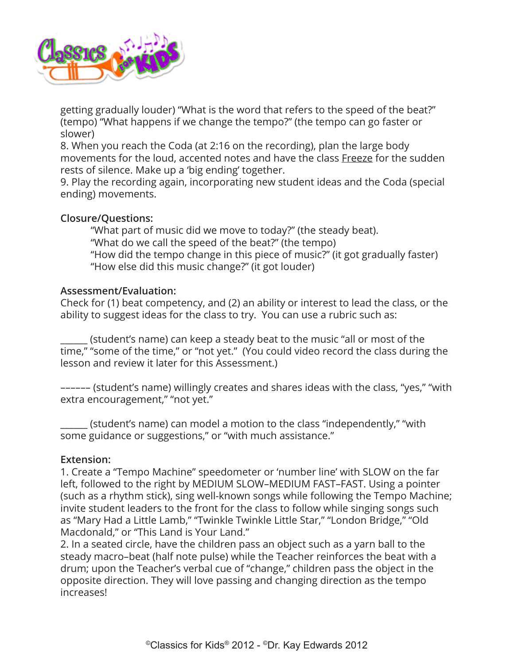

getting gradually louder) "What is the word that refers to the speed of the beat?" (tempo) "What happens if we change the tempo?" (the tempo can go faster or slower)

8. When you reach the Coda (at 2:16 on the recording), plan the large body movements for the loud, accented notes and have the class Freeze for the sudden rests of silence. Make up a 'big ending' together.

9. Play the recording again, incorporating new student ideas and the Coda (special ending) movements.

### **Closure/Questions:**

"What part of music did we move to today?" (the steady beat). "What do we call the speed of the beat?" (the tempo) "How did the tempo change in this piece of music?" (it got gradually faster) "How else did this music change?" (it got louder)

#### **Assessment/Evaluation:**

Check for (1) beat competency, and (2) an ability or interest to lead the class, or the ability to suggest ideas for the class to try. You can use a rubric such as:

\_\_\_\_\_\_ (student's name) can keep a steady beat to the music "all or most of the time," "some of the time," or "not yet." (You could video record the class during the lesson and review it later for this Assessment.)

–––––– (student's name) willingly creates and shares ideas with the class, "yes," "with extra encouragement," "not yet."

\_\_\_\_\_\_ (student's name) can model a motion to the class "independently," "with some guidance or suggestions," or "with much assistance."

#### **Extension:**

1. Create a "Tempo Machine" speedometer or 'number line' with SLOW on the far left, followed to the right by MEDIUM SLOW–MEDIUM FAST–FAST. Using a pointer (such as a rhythm stick), sing well-known songs while following the Tempo Machine; invite student leaders to the front for the class to follow while singing songs such as "Mary Had a Little Lamb," "Twinkle Twinkle Little Star," "London Bridge," "Old Macdonald," or "This Land is Your Land."

2. In a seated circle, have the children pass an object such as a yarn ball to the steady macro–beat (half note pulse) while the Teacher reinforces the beat with a drum; upon the Teacher's verbal cue of "change," children pass the object in the opposite direction. They will love passing and changing direction as the tempo increases!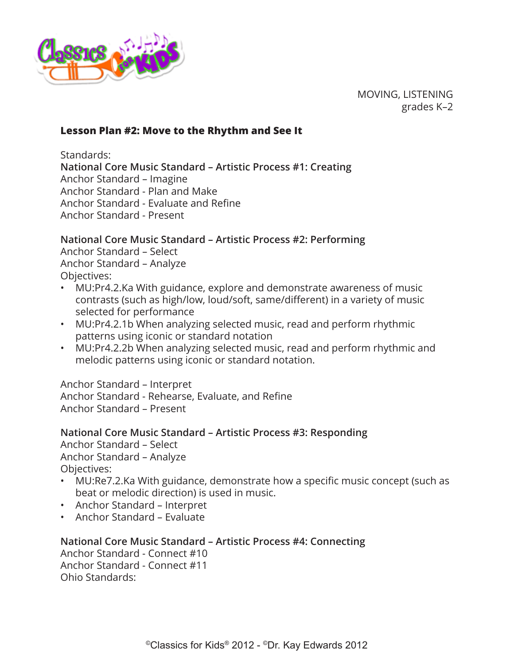<span id="page-8-0"></span>

MOVING, LISTENING grades K–2

#### **Lesson Plan #2: Move to the Rhythm and See It**

Standards:

**National Core Music Standard – Artistic Process #1: Creating** Anchor Standard – Imagine Anchor Standard - Plan and Make Anchor Standard - Evaluate and Refine

Anchor Standard - Present

### **National Core Music Standard – Artistic Process #2: Performing**

Anchor Standard – Select Anchor Standard – Analyze Objectives:

- MU:Pr4.2.Ka With guidance, explore and demonstrate awareness of music contrasts (such as high/low, loud/soft, same/different) in a variety of music selected for performance
- MU:Pr4.2.1b When analyzing selected music, read and perform rhythmic patterns using iconic or standard notation
- MU:Pr4.2.2b When analyzing selected music, read and perform rhythmic and melodic patterns using iconic or standard notation.

Anchor Standard – Interpret

Anchor Standard - Rehearse, Evaluate, and Refine Anchor Standard – Present

**National Core Music Standard – Artistic Process #3: Responding** Anchor Standard – Select Anchor Standard – Analyze Objectives:

- MU:Re7.2.Ka With guidance, demonstrate how a specific music concept (such as beat or melodic direction) is used in music.
- Anchor Standard Interpret
- Anchor Standard Evaluate

**National Core Music Standard – Artistic Process #4: Connecting**

Anchor Standard - Connect #10 Anchor Standard - Connect #11 Ohio Standards: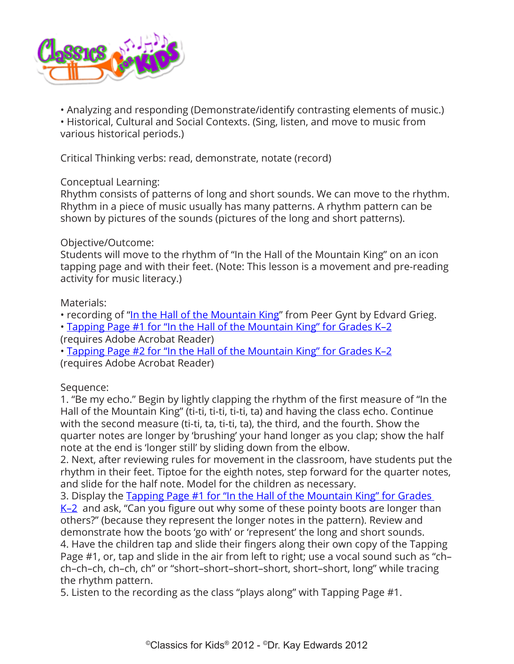

• Analyzing and responding (Demonstrate/identify contrasting elements of music.)

• Historical, Cultural and Social Contexts. (Sing, listen, and move to music from various historical periods.)

Critical Thinking verbs: read, demonstrate, notate (record)

### Conceptual Learning:

Rhythm consists of patterns of long and short sounds. We can move to the rhythm. Rhythm in a piece of music usually has many patterns. A rhythm pattern can be shown by pictures of the sounds (pictures of the long and short patterns).

### Objective/Outcome:

Students will move to the rhythm of "In the Hall of the Mountain King" on an icon tapping page and with their feet. (Note: This lesson is a movement and pre-reading activity for music literacy.)

### Materials:

• recording of "[In the Hall of the Mountain King"](http://www.classicsforkids.com/composers/composer_profile.php?id=32) from Peer Gynt by Edvard Grieg.

• [Tapping Page #1 for "In the Hall of the Mountain King" for Grades K–2](http://www.classicsforkids.com/downloads/grieg/Mountain_King_k-2_Tap_Pg1.pdf)

(requires Adobe Acrobat Reader)

• [Tapping Page #2 for "In the Hall of the Mountain King" for Grades K–2](http://www.classicsforkids.com/downloads/grieg/Mountain_King_k-2_Tap_Pg2.pdf)

(requires Adobe Acrobat Reader)

Sequence:

1. "Be my echo." Begin by lightly clapping the rhythm of the first measure of "In the Hall of the Mountain King" (ti-ti, ti-ti, ti-ti, ta) and having the class echo. Continue with the second measure (ti-ti, ta, ti-ti, ta), the third, and the fourth. Show the quarter notes are longer by 'brushing' your hand longer as you clap; show the half note at the end is 'longer still' by sliding down from the elbow.

2. Next, after reviewing rules for movement in the classroom, have students put the rhythm in their feet. Tiptoe for the eighth notes, step forward for the quarter notes, and slide for the half note. Model for the children as necessary.

3. Display the Tapping Page #1 for "In the Hall of the Mountain King" for Grades

[K–2](http://www.classicsforkids.com/downloads/grieg/Mountain_King_k-2_Tap_Pg1.pdf) and ask, "Can you figure out why some of these pointy boots are longer than others?" (because they represent the longer notes in the pattern). Review and demonstrate how the boots 'go with' or 'represent' the long and short sounds.

4. Have the children tap and slide their fingers along their own copy of the Tapping Page #1, or, tap and slide in the air from left to right; use a vocal sound such as "ch– ch–ch–ch, ch–ch, ch" or "short–short–short–short, short–short, long" while tracing the rhythm pattern.

5. Listen to the recording as the class "plays along" with Tapping Page #1.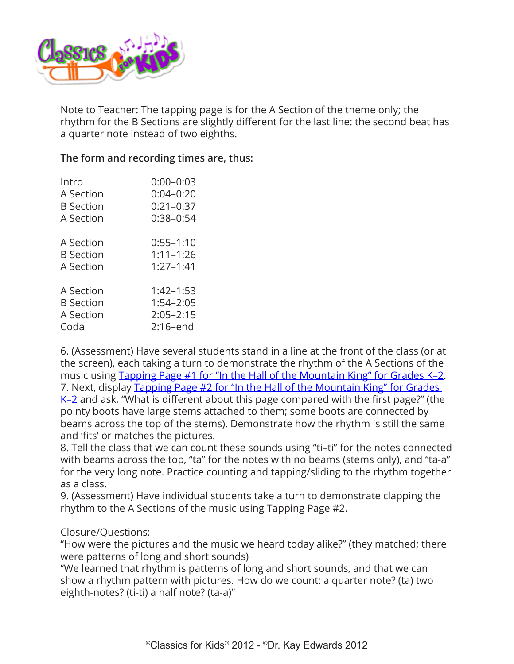

Note to Teacher: The tapping page is for the A Section of the theme only; the rhythm for the B Sections are slightly different for the last line: the second beat has a quarter note instead of two eighths.

### **The form and recording times are, thus:**

| Intro            | $0:00 - 0:03$ |
|------------------|---------------|
| A Section        | $0:04 - 0:20$ |
| <b>B</b> Section | $0:21-0:37$   |
| A Section        | $0:38 - 0:54$ |
| A Section        | $0:55 - 1:10$ |
| <b>B</b> Section | $1:11 - 1:26$ |
| A Section        | $1:27 - 1:41$ |
| A Section        | $1:42 - 1:53$ |
| <b>B</b> Section | $1:54 - 2:05$ |
| A Section        | $2:05 - 2:15$ |
| Coda             | $2:16$ -end   |

6. (Assessment) Have several students stand in a line at the front of the class (or at the screen), each taking a turn to demonstrate the rhythm of the A Sections of the music using Tapping Page #1 for "In the Hall of the Mountain King" for Grades K-2. 7. Next, display [Tapping Page #2 for "In the Hall of the Mountain King" for Grades](http://www.classicsforkids.com/downloads/grieg/Mountain_King_k-2_Tap_Pg2.pdf)  [K–2](http://www.classicsforkids.com/downloads/grieg/Mountain_King_k-2_Tap_Pg2.pdf) and ask, "What is different about this page compared with the first page?" (the pointy boots have large stems attached to them; some boots are connected by beams across the top of the stems). Demonstrate how the rhythm is still the same and 'fits' or matches the pictures.

8. Tell the class that we can count these sounds using "ti–ti" for the notes connected with beams across the top, "ta" for the notes with no beams (stems only), and "ta-a" for the very long note. Practice counting and tapping/sliding to the rhythm together as a class.

9. (Assessment) Have individual students take a turn to demonstrate clapping the rhythm to the A Sections of the music using Tapping Page #2.

#### Closure/Questions:

"How were the pictures and the music we heard today alike?" (they matched; there were patterns of long and short sounds)

"We learned that rhythm is patterns of long and short sounds, and that we can show a rhythm pattern with pictures. How do we count: a quarter note? (ta) two eighth-notes? (ti-ti) a half note? (ta-a)"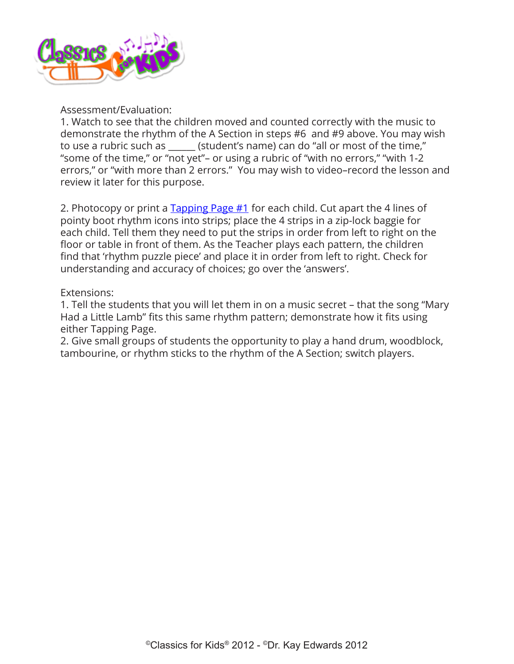

#### Assessment/Evaluation:

1. Watch to see that the children moved and counted correctly with the music to demonstrate the rhythm of the A Section in steps #6 and #9 above. You may wish to use a rubric such as \_\_\_\_\_\_ (student's name) can do "all or most of the time," "some of the time," or "not yet"– or using a rubric of "with no errors," "with 1-2 errors," or "with more than 2 errors." You may wish to video–record the lesson and review it later for this purpose.

2. Photocopy or print a [Tapping Page #1](http://www.classicsforkids.com/downloads/grieg/Mountain_King_k-2_Tap_Pg1.pdf) for each child. Cut apart the 4 lines of pointy boot rhythm icons into strips; place the 4 strips in a zip-lock baggie for each child. Tell them they need to put the strips in order from left to right on the floor or table in front of them. As the Teacher plays each pattern, the children find that 'rhythm puzzle piece' and place it in order from left to right. Check for understanding and accuracy of choices; go over the 'answers'.

#### Extensions:

1. Tell the students that you will let them in on a music secret – that the song "Mary Had a Little Lamb" fits this same rhythm pattern; demonstrate how it fits using either Tapping Page.

2. Give small groups of students the opportunity to play a hand drum, woodblock, tambourine, or rhythm sticks to the rhythm of the A Section; switch players.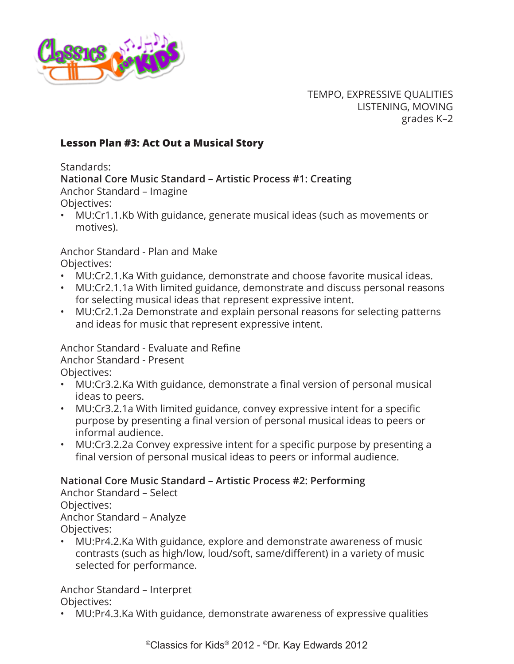<span id="page-12-0"></span>

TEMPO, EXPRESSIVE QUALITIES LISTENING, MOVING grades K–2

### **Lesson Plan #3: Act Out a Musical Story**

Standards:

**National Core Music Standard – Artistic Process #1: Creating**

Anchor Standard – Imagine Objectives:

• MU:Cr1.1.Kb With guidance, generate musical ideas (such as movements or motives).

Anchor Standard - Plan and Make Objectives:

- MU:Cr2.1.Ka With guidance, demonstrate and choose favorite musical ideas.
- MU:Cr2.1.1a With limited guidance, demonstrate and discuss personal reasons for selecting musical ideas that represent expressive intent.
- MU:Cr2.1.2a Demonstrate and explain personal reasons for selecting patterns and ideas for music that represent expressive intent.

Anchor Standard - Evaluate and Refine Anchor Standard - Present

Objectives:

- MU:Cr3.2.Ka With guidance, demonstrate a final version of personal musical ideas to peers.
- MU:Cr3.2.1a With limited guidance, convey expressive intent for a specific purpose by presenting a final version of personal musical ideas to peers or informal audience.
- MU:Cr3.2.2a Convey expressive intent for a specific purpose by presenting a final version of personal musical ideas to peers or informal audience.

# **National Core Music Standard – Artistic Process #2: Performing**

Anchor Standard – Select Objectives: Anchor Standard – Analyze Objectives:

• MU:Pr4.2.Ka With guidance, explore and demonstrate awareness of music contrasts (such as high/low, loud/soft, same/different) in a variety of music selected for performance.

Anchor Standard – Interpret Objectives:

• MU:Pr4.3.Ka With guidance, demonstrate awareness of expressive qualities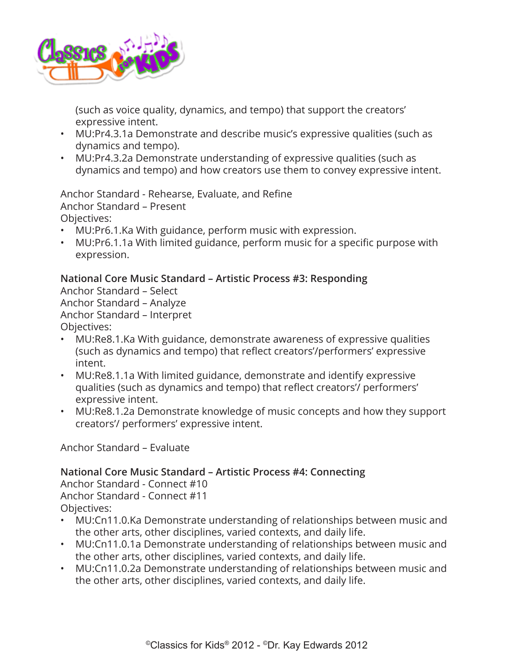

(such as voice quality, dynamics, and tempo) that support the creators' expressive intent.

- MU:Pr4.3.1a Demonstrate and describe music's expressive qualities (such as dynamics and tempo).
- MU:Pr4.3.2a Demonstrate understanding of expressive qualities (such as dynamics and tempo) and how creators use them to convey expressive intent.

Anchor Standard - Rehearse, Evaluate, and Refine Anchor Standard – Present Objectives:

- MU:Pr6.1.Ka With guidance, perform music with expression.
- MU:Pr6.1.1a With limited guidance, perform music for a specific purpose with expression.

### **National Core Music Standard – Artistic Process #3: Responding**

Anchor Standard – Select Anchor Standard – Analyze Anchor Standard – Interpret Objectives:

- MU:Re8.1.Ka With guidance, demonstrate awareness of expressive qualities (such as dynamics and tempo) that reflect creators'/performers' expressive intent.
- MU:Re8.1.1a With limited guidance, demonstrate and identify expressive qualities (such as dynamics and tempo) that reflect creators'/ performers' expressive intent.
- MU:Re8.1.2a Demonstrate knowledge of music concepts and how they support creators'/ performers' expressive intent.

Anchor Standard – Evaluate

# **National Core Music Standard – Artistic Process #4: Connecting**

Anchor Standard - Connect #10 Anchor Standard - Connect #11 Objectives:

- MU:Cn11.0.Ka Demonstrate understanding of relationships between music and the other arts, other disciplines, varied contexts, and daily life.
- MU:Cn11.0.1a Demonstrate understanding of relationships between music and the other arts, other disciplines, varied contexts, and daily life.
- MU:Cn11.0.2a Demonstrate understanding of relationships between music and the other arts, other disciplines, varied contexts, and daily life.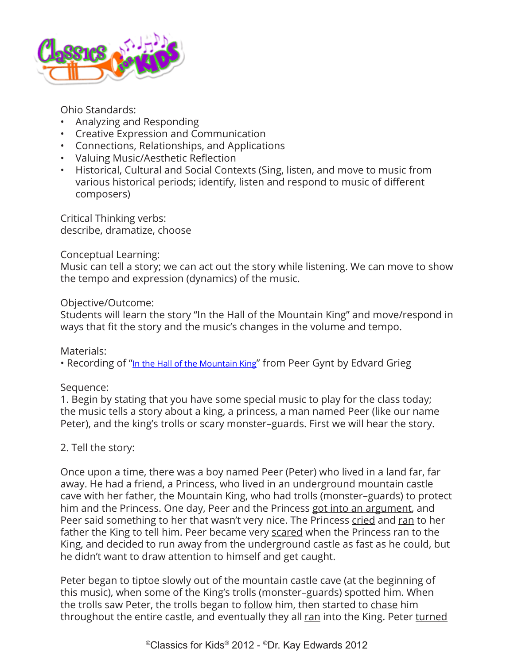

Ohio Standards:

- Analyzing and Responding
- Creative Expression and Communication
- Connections, Relationships, and Applications
- Valuing Music/Aesthetic Reflection
- Historical, Cultural and Social Contexts (Sing, listen, and move to music from various historical periods; identify, listen and respond to music of different composers)

Critical Thinking verbs: describe, dramatize, choose

### Conceptual Learning:

Music can tell a story; we can act out the story while listening. We can move to show the tempo and expression (dynamics) of the music.

#### Objective/Outcome:

Students will learn the story "In the Hall of the Mountain King" and move/respond in ways that fit the story and the music's changes in the volume and tempo.

Materials:

• Recording of "[In the Hall of the Mountain King"](http://www.classicsforkids.com/composers/composer_profile.php?id=32) from Peer Gynt by Edvard Grieg

Sequence:

1. Begin by stating that you have some special music to play for the class today; the music tells a story about a king, a princess, a man named Peer (like our name Peter), and the king's trolls or scary monster–guards. First we will hear the story.

### 2. Tell the story:

Once upon a time, there was a boy named Peer (Peter) who lived in a land far, far away. He had a friend, a Princess, who lived in an underground mountain castle cave with her father, the Mountain King, who had trolls (monster–guards) to protect him and the Princess. One day, Peer and the Princess got into an argument, and Peer said something to her that wasn't very nice. The Princess cried and ran to her father the King to tell him. Peer became very scared when the Princess ran to the King, and decided to run away from the underground castle as fast as he could, but he didn't want to draw attention to himself and get caught.

Peter began to tiptoe slowly out of the mountain castle cave (at the beginning of this music), when some of the King's trolls (monster–guards) spotted him. When the trolls saw Peter, the trolls began to follow him, then started to chase him throughout the entire castle, and eventually they all ran into the King. Peter turned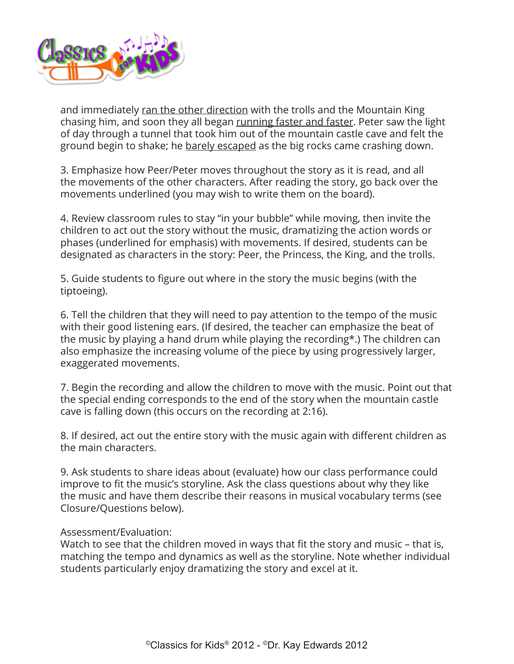

and immediately ran the other direction with the trolls and the Mountain King chasing him, and soon they all began running faster and faster. Peter saw the light of day through a tunnel that took him out of the mountain castle cave and felt the ground begin to shake; he barely escaped as the big rocks came crashing down.

3. Emphasize how Peer/Peter moves throughout the story as it is read, and all the movements of the other characters. After reading the story, go back over the movements underlined (you may wish to write them on the board).

4. Review classroom rules to stay "in your bubble" while moving, then invite the children to act out the story without the music, dramatizing the action words or phases (underlined for emphasis) with movements. If desired, students can be designated as characters in the story: Peer, the Princess, the King, and the trolls.

5. Guide students to figure out where in the story the music begins (with the tiptoeing).

6. Tell the children that they will need to pay attention to the tempo of the music with their good listening ears. (If desired, the teacher can emphasize the beat of the music by playing a hand drum while playing the recording\*.) The children can also emphasize the increasing volume of the piece by using progressively larger, exaggerated movements.

7. Begin the recording and allow the children to move with the music. Point out that the special ending corresponds to the end of the story when the mountain castle cave is falling down (this occurs on the recording at 2:16).

8. If desired, act out the entire story with the music again with different children as the main characters.

9. Ask students to share ideas about (evaluate) how our class performance could improve to fit the music's storyline. Ask the class questions about why they like the music and have them describe their reasons in musical vocabulary terms (see Closure/Questions below).

#### Assessment/Evaluation:

Watch to see that the children moved in ways that fit the story and music – that is, matching the tempo and dynamics as well as the storyline. Note whether individual students particularly enjoy dramatizing the story and excel at it.